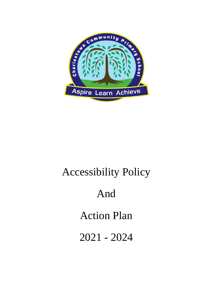

# Accessibility Policy And Action Plan 2021 - 2024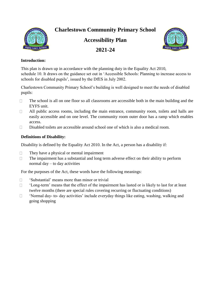**Charlestown Community Primary School**

**Accessibility Plan**





#### **Introduction:**

This plan is drawn up in accordance with the planning duty in the Equality Act 2010, schedule 10. It draws on the guidance set out in 'Accessible Schools: Planning to increase access to schools for disabled pupils', issued by the DfES in July 2002.

Charlestown Community Primary School's building is well designed to meet the needs of disabled pupils:

- The school is all on one floor so all classrooms are accessible both in the main building and the  $\Box$ EYFS unit.
- $\Box$ All public access rooms, including the main entrance, community room, toilets and halls are easily accessible and on one level. The community room outer door has a ramp which enables access.
- Disabled toilets are accessible around school one of which is also a medical room.  $\Box$

#### **Definitions of Disability:**

Disability is defined by the Equality Act 2010. In the Act, a person has a disability if:

- $\Box$ They have a physical or mental impairment
- The impairment has a substantial and long term adverse effect on their ability to perform  $\Box$ normal day – to day activities

For the purposes of the Act, these words have the following meanings:

- 'Substantial' means more than minor or trivial  $\Box$
- $\Box$ 'Long-term' means that the effect of the impairment has lasted or is likely to last for at least twelve months (there are special rules covering recurring or fluctuating conditions)
- $\Box$ 'Normal day- to- day activities' include everyday things like eating, washing, walking and going shopping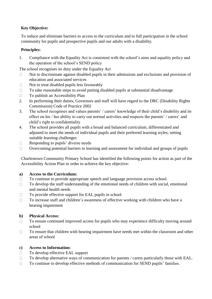#### **Key Objective:**

To reduce and eliminate barriers to access to the curriculum and to full participation in the school community for pupils and prospective pupils and our adults with a disability.

#### **Principles:**

1. Compliance with the Equality Act is consistent with the school's aims and equality policy and the operation of the school's SEND policy

The school recognises its duty under the Equality Act

- Not to discriminate against disabled pupils in their admissions and exclusions and provision of  $\Box$ education and associated services
- Not to treat disabled pupils less favourably  $\Box$
- To take reasonable steps to avoid putting disabled pupils at substantial disadvantage  $\Box$
- $\Box$ To publish an Accessibility Plan
- 2. In performing their duties, Governors and staff will have regard to the DRC (Disability Rights Commission) Code of Practice 2002
- 3. The school recognises and values parents' / carers' knowledge of their child's disability and its effect on his / her ability to carry out normal activities and respects the parents' / carers' and child's right to confidentiality
- 4. The school provides all pupils with a broad and balanced curriculum, differentiated and adjusted to meet the needs of individual pupils and their preferred learning styles; setting suitable learning challenges
- $\Box$ Responding to pupils' diverse needs
- Overcoming potential barriers to learning and assessment for individual and groups of pupils  $\Box$

Charlestown Community Primary School has identified the following points for action as part of the Accessibility Action Plan in order to achieve the key objective:

#### **a) Access to the Curriculum:**

- To continue to provide appropriate speech and language provision across school.  $\Box$
- To develop the staff understanding of the emotional needs of children with social, emotional  $\Box$ and mental health needs
- To provide effective support for EAL pupils in school  $\Box$
- To increase staff and children's awareness of effective working with children who have a  $\Box$ hearing impairment

#### **b) Physical Access:**

- To ensure continued improved access for pupils who may experience difficulty moving around  $\Box$ school
- To ensure that children with hearing impairment have needs met within the classroom and other  $\Box$ areas of school

#### **c) Access to Information:**

- To develop effective EAL support  $\Box$
- To develop alternative ways of communication for parents / carers particularly those with EAL.  $\Box$
- To continue to develop effective methods of communication for SEND pupils' families.  $\Box$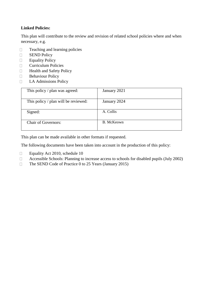#### **Linked Policies:**

This plan will contribute to the review and revision of related school policies where and when necessary, e.g.

- Teaching and learning policies  $\Box$
- SEND Policy  $\Box$
- Equality Policy  $\Box$
- Curriculum Policies  $\Box$
- Health and Safety Policy  $\Box$
- $\Box$ Behaviour Policy
- $\Box$ LA Admissions Policy

| This policy / plan was agreed:       | January 2021 |
|--------------------------------------|--------------|
| This policy / plan will be reviewed: | January 2024 |
| Signed:                              | A. Collis    |
| <b>Chair of Governors:</b>           | B. McKeown   |

This plan can be made available in other formats if requested.

The following documents have been taken into account in the production of this policy:

- $\Box$ Equality Act 2010, schedule 10
- Accessible Schools: Planning to increase access to schools for disabled pupils (July 2002)  $\Box$
- The SEND Code of Practice 0 to 25 Years (January 2015) $\Box$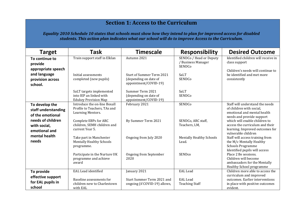## **Section 1: Access to the Curriculum**

*Equality 2010 Schedule 10 states that schools must show how they intend to plan for improved access for disabled students. This action plan indicates what our school will do to improve Access to the Curriculum.* 

| <b>Target</b>                                             | <b>Task</b>                                                                        | <b>Timescale</b>                                                                   | <b>Responsibility</b>                                   | <b>Desired Outcome</b>                                                                                                     |
|-----------------------------------------------------------|------------------------------------------------------------------------------------|------------------------------------------------------------------------------------|---------------------------------------------------------|----------------------------------------------------------------------------------------------------------------------------|
| To continue to<br>provide<br>appropriate speech           | Train support staff in Elklan                                                      | Autumn 2021                                                                        | SENDCo / Head or Deputy<br>/ Business Manager<br>SENDCo | Identified children will receive in<br>class support                                                                       |
| and language<br>provision across<br>school.               | Initial assessments<br>completed (new pupils)                                      | <b>Start of Summer Term 2021</b><br>(depending on date of<br>appointment/COVID-19) | <b>SaLT</b><br>SENDCo                                   | Children's needs will continue to<br>be identified and met more<br>consistently                                            |
|                                                           | SaLT targets implemented<br>into IEP an linked with<br><b>Edukey Provision Map</b> | Summer Term 2021<br>(depending on date of<br>appointment/COVID-19)                 | SaLT<br>SENDCo                                          |                                                                                                                            |
| To develop the<br>staff understanding<br>of the emotional | Introduce the on-line Boxall<br>Profile to Teachers, TAs and<br>Learning Mentors.  | February 2021                                                                      | <b>SENDCo</b>                                           | Staff will understand the needs<br>of children with social,<br>emotional and mental health<br>needs and provide support    |
| needs of children<br>with social,<br>emotional and        | Complete EBPs for ARC<br>children, SEMH children and<br>current Year 5.            | By Summer Term 2021                                                                | SENDCo, ARC staff,<br>Teachers, LM,                     | which will enable children to<br>access the curriculum and their<br>learning. Improved outcomes for<br>vulnerable children |
| mental health<br>needs                                    | Take part in Manchester<br><b>Mentally Healthy Schools</b><br>programme.           | Ongoing from July 2020                                                             | <b>Mentally Healthy Schools</b><br>Lead.                | Staff will access training from<br>the M/c Mentally Healthy<br><b>Schools Programme</b><br>Identified pupils will access   |
|                                                           | Participate in the Nurture UK<br>programme and achieve<br>award                    | <b>Ongoing from September</b><br>2020                                              | SENDco                                                  | Place 2 Be sessions.<br>Children will become<br>ambassadors for the Mentally<br>Healthy School programme                   |
| To provide<br>effective support<br>for EAL pupils in      | <b>EAL Lead identified</b><br>Baseline assessments for                             | January 2021<br>Start Summer Term 2021 and                                         | <b>EAL</b> Lead<br><b>EAL</b> Lead                      | Children more able to access the<br>curriculum and improved<br>outcomes. Earlier interventions                             |
| school                                                    | children new to Charlestown<br>with EAL                                            | ongoing (if COVID-19) allows,                                                      | <b>Teaching Staff</b>                                   | in place with positive outcomes<br>evident.                                                                                |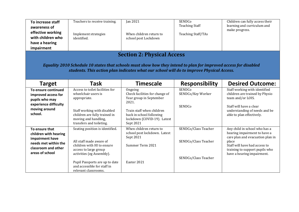| To increase staff<br>awareness of<br>effective working<br>with children who<br>have a hearing<br>impairment                                                                                                                                       | Teachers to receive training.<br>Implement strategies<br>identified.                                                                                                                                                                    | <b>Jan 2021</b><br>When children return to<br>school post Lockdown                                                                                                                 | SENDCo<br><b>Teaching Staff</b><br><b>Teaching Staff/TAs</b>         | Children can fully access their<br>learning and curriculum and<br>make progress.                                                                                                                            |  |
|---------------------------------------------------------------------------------------------------------------------------------------------------------------------------------------------------------------------------------------------------|-----------------------------------------------------------------------------------------------------------------------------------------------------------------------------------------------------------------------------------------|------------------------------------------------------------------------------------------------------------------------------------------------------------------------------------|----------------------------------------------------------------------|-------------------------------------------------------------------------------------------------------------------------------------------------------------------------------------------------------------|--|
| <b>Section 2: Physical Access</b><br>Equality 2010 Schedule 10 states that schools must show how they intend to plan for improved access for disabled<br>students. This action plan indicates what our school will do to improve Physical Access. |                                                                                                                                                                                                                                         |                                                                                                                                                                                    |                                                                      |                                                                                                                                                                                                             |  |
| <b>Target</b>                                                                                                                                                                                                                                     | <b>Task</b>                                                                                                                                                                                                                             | <b>Timescale</b>                                                                                                                                                                   | Responsibility                                                       | <b>Desired Outcome:</b>                                                                                                                                                                                     |  |
| To ensure continued<br>improved access for<br>pupils who may<br>experience difficulty<br>moving around<br>school.                                                                                                                                 | Access to toilet facilities for<br>wheelchair users is<br>appropriate.<br>Staff working with disabled<br>children are fully trained in<br>moving and handling,<br>transfers and toileting.                                              | Ongoing<br>Check facilities for change of<br>Year group in September<br>2021.<br>Train staff when children<br>back in school following<br>lockdown (COVID-19). Latest<br>Sept 2021 | <b>SENDCo</b><br>SENDCo/Key Worker<br>SENDCo                         | Staff working with identified<br>children are trained by Physio<br>team and/or LOIS.<br>Staff will have a clear<br>understanding of needs and be<br>able to plan effectively.                               |  |
| To ensure that<br>children with hearing<br>impairment have<br>needs met within the<br>classroom and other<br>areas of school                                                                                                                      | Seating position is identified.<br>All staff made aware of<br>children with HI to ensure<br>access to large group<br>activities (eg Assembly).<br>Pupil Passports are up to date<br>and accessible for staff in<br>relevant classrooms. | When children return to<br>school post lockdown. Latest<br>Sept 2021<br>Summer Term 2021<br>Easter 2021                                                                            | SENDCo/Class Teacher<br>SENDCo/Class Teacher<br>SENDCo/Class Teacher | Any child in school who has a<br>hearing impairment to have a<br>care plan and evacuation plan in<br>place<br>Staff will have had access to<br>training to support pupils who<br>have a hearing impairment. |  |